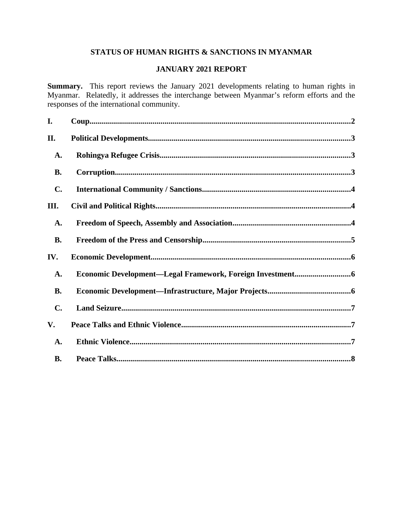# **STATUS OF HUMAN RIGHTS & SANCTIONS IN MYANMAR**

# **JANUARY 2021 REPORT**

**Summary.** This report reviews the January 2021 developments relating to human rights in Myanmar. Relatedly, it addresses the interchange between Myanmar's reform efforts and the responses of the international community.

| I.             |  |
|----------------|--|
| II.            |  |
| A.             |  |
| <b>B.</b>      |  |
| $\mathbf{C}$ . |  |
| III.           |  |
| A.             |  |
| <b>B.</b>      |  |
| IV.            |  |
| A.             |  |
| <b>B.</b>      |  |
| $\mathbf{C}$ . |  |
| V.             |  |
| A.             |  |
| <b>B.</b>      |  |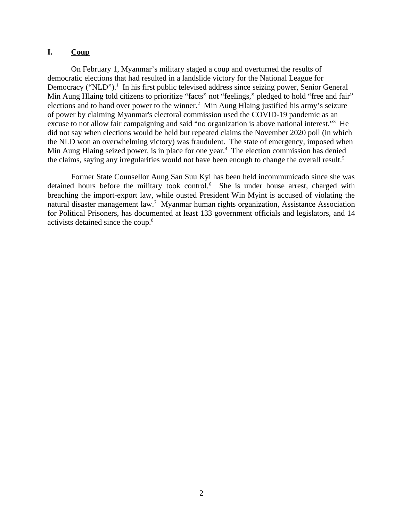### <span id="page-1-0"></span>**I. Coup**

On February 1, Myanmar's military staged a coup and overturned the results of democratic elections that had resulted in a landslide victory for the National League for Democracy ("NLD").<sup>1</sup> In his first public televised address since seizing power, Senior General Min Aung Hlaing told citizens to prioritize "facts" not "feelings," pledged to hold "free and fair" elections and to hand over power to the winner.<sup>2</sup> Min Aung Hlaing justified his army's seizure of power by claiming Myanmar's electoral commission used the COVID-19 pandemic as an excuse to not allow fair campaigning and said "no organization is above national interest."<sup>3</sup> He did not say when elections would be held but repeated claims the November 2020 poll (in which the NLD won an overwhelming victory) was fraudulent. The state of emergency, imposed when Min Aung Hlaing seized power, is in place for one year.<sup>4</sup> The election commission has denied the claims, saying any irregularities would not have been enough to change the overall result.<sup>5</sup>

Former State Counsellor Aung San Suu Kyi has been held incommunicado since she was detained hours before the military took control.<sup>6</sup> She is under house arrest, charged with breaching the import-export law, while ousted President Win Myint is accused of violating the natural disaster management law.<sup>7</sup> Myanmar human rights organization, Assistance Association for Political Prisoners, has documented at least 133 government officials and legislators, and 14 activists detained since the coup.<sup>8</sup>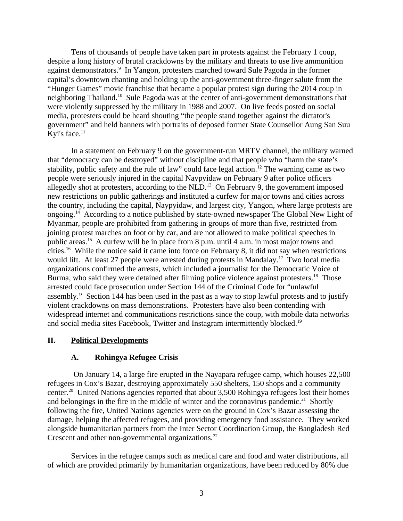Tens of thousands of people have taken part in protests against the February 1 coup, despite a long history of brutal crackdowns by the military and threats to use live ammunition against demonstrators.<sup>9</sup> In Yangon, protesters marched toward Sule Pagoda in the former capital's downtown chanting and holding up the anti-government three-finger salute from the "Hunger Games" movie franchise that became a popular protest sign during the 2014 coup in neighboring Thailand.<sup>10</sup> Sule Pagoda was at the center of anti-government demonstrations that were violently suppressed by the military in 1988 and 2007. On live feeds posted on social media, protesters could be heard shouting "the people stand together against the dictator's government" and held banners with portraits of deposed former State Counsellor Aung San Suu Kyi's face. $11$ 

In a statement on February 9 on the government-run MRTV channel, the military warned that "democracy can be destroyed" without discipline and that people who "harm the state's stability, public safety and the rule of law" could face legal action.<sup>12</sup> The warning came as two people were seriously injured in the capital Naypyidaw on February 9 after police officers allegedly shot at protesters, according to the  $NLD$ .<sup>13</sup> On February 9, the government imposed new restrictions on public gatherings and instituted a curfew for major towns and cities across the country, including the capital, Naypyidaw, and largest city, Yangon, where large protests are ongoing.<sup>14</sup> According to a notice published by state-owned newspaper The Global New Light of Myanmar, people are prohibited from gathering in groups of more than five, restricted from joining protest marches on foot or by car, and are not allowed to make political speeches in public areas.<sup>15</sup> A curfew will be in place from 8 p.m. until 4 a.m. in most major towns and cities.<sup>16</sup> While the notice said it came into force on February 8, it did not say when restrictions would lift. At least 27 people were arrested during protests in Mandalay.<sup>17</sup> Two local media organizations confirmed the arrests, which included a journalist for the Democratic Voice of Burma, who said they were detained after filming police violence against protesters.<sup>18</sup> Those arrested could face prosecution under Section 144 of the Criminal Code for "unlawful assembly." Section 144 has been used in the past as a way to stop lawful protests and to justify violent crackdowns on mass demonstrations. Protesters have also been contending with widespread internet and communications restrictions since the coup, with mobile data networks and social media sites Facebook, Twitter and Instagram intermittently blocked.<sup>19</sup>

#### **II. Political Developments**

#### <span id="page-2-1"></span><span id="page-2-0"></span>**A. Rohingya Refugee Crisis**

On January 14, a large fire erupted in the Nayapara refugee camp, which houses 22,500 refugees in Cox's Bazar, destroying approximately 550 shelters, 150 shops and a community center.<sup>20</sup> United Nations agencies reported that about 3,500 Rohingya refugees lost their homes and belongings in the fire in the middle of winter and the coronavirus pandemic.<sup>21</sup> Shortly following the fire, United Nations agencies were on the ground in Cox's Bazar assessing the damage, helping the affected refugees, and providing emergency food assistance. They worked alongside humanitarian partners from the Inter Sector Coordination Group, the Bangladesh Red Crescent and other non-governmental organizations.<sup>22</sup>

Services in the refugee camps such as medical care and food and water distributions, all of which are provided primarily by humanitarian organizations, have been reduced by 80% due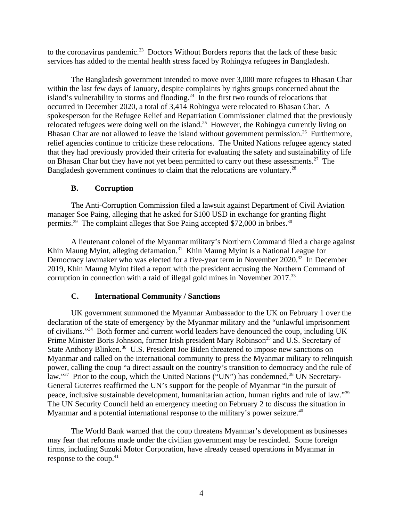to the coronavirus pandemic.<sup>23</sup> Doctors Without Borders reports that the lack of these basic services has added to the mental health stress faced by Rohingya refugees in Bangladesh.

The Bangladesh government intended to move over 3,000 more refugees to Bhasan Char within the last few days of January, despite complaints by rights groups concerned about the island's vulnerability to storms and flooding.<sup>24</sup> In the first two rounds of relocations that occurred in December 2020, a total of 3,414 Rohingya were relocated to Bhasan Char. A spokesperson for the Refugee Relief and Repatriation Commissioner claimed that the previously relocated refugees were doing well on the island.<sup>25</sup> However, the Rohingya currently living on Bhasan Char are not allowed to leave the island without government permission.<sup>26</sup> Furthermore, relief agencies continue to criticize these relocations. The United Nations refugee agency stated that they had previously provided their criteria for evaluating the safety and sustainability of life on Bhasan Char but they have not yet been permitted to carry out these assessments.<sup>27</sup> The Bangladesh government continues to claim that the relocations are voluntary.<sup>28</sup>

# <span id="page-3-1"></span>**B. Corruption**

The Anti-Corruption Commission filed a lawsuit against Department of Civil Aviation manager Soe Paing, alleging that he asked for \$100 USD in exchange for granting flight permits.<sup>29</sup> The complaint alleges that Soe Paing accepted \$72,000 in bribes.<sup>30</sup>

A lieutenant colonel of the Myanmar military's Northern Command filed a charge against Khin Maung Myint, alleging defamation.<sup>31</sup> Khin Maung Myint is a National League for Democracy lawmaker who was elected for a five-year term in November 2020.<sup>32</sup> In December 2019, Khin Maung Myint filed a report with the president accusing the Northern Command of corruption in connection with a raid of illegal gold mines in November 2017.<sup>33</sup>

# <span id="page-3-0"></span>**C. International Community / Sanctions**

UK government summoned the Myanmar Ambassador to the UK on February 1 over the declaration of the state of emergency by the Myanmar military and the "unlawful imprisonment of civilians."<sup>34</sup> Both former and current world leaders have denounced the coup, including UK Prime Minister Boris Johnson, former Irish president Mary Robinson<sup>35</sup> and U.S. Secretary of State Anthony Blinken.<sup>36</sup> U.S. President Joe Biden threatened to impose new sanctions on Myanmar and called on the international community to press the Myanmar military to relinquish power, calling the coup "a direct assault on the country's transition to democracy and the rule of law."<sup>37</sup> Prior to the coup, which the United Nations ("UN") has condemned,<sup>38</sup> UN Secretary-General Guterres reaffirmed the UN's support for the people of Myanmar "in the pursuit of peace, inclusive sustainable development, humanitarian action, human rights and rule of law."<sup>39</sup> The UN Security Council held an emergency meeting on February 2 to discuss the situation in Myanmar and a potential international response to the military's power seizure.<sup>40</sup>

The World Bank warned that the coup threatens Myanmar's development as businesses may fear that reforms made under the civilian government may be rescinded. Some foreign firms, including Suzuki Motor Corporation, have already ceased operations in Myanmar in response to the coup.<sup>41</sup>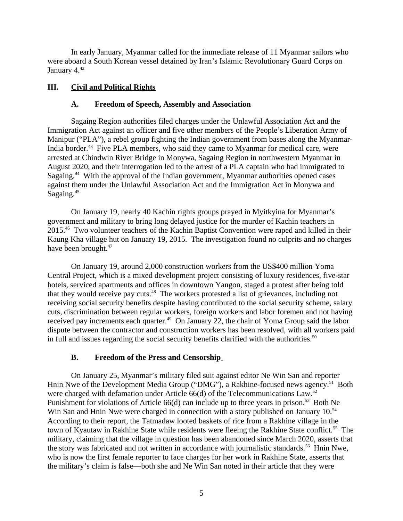In early January, Myanmar called for the immediate release of 11 Myanmar sailors who were aboard a South Korean vessel detained by Iran's Islamic Revolutionary Guard Corps on January 4.<sup>42</sup>

### **III. Civil and Political Rights**

### <span id="page-4-2"></span><span id="page-4-1"></span>**A. Freedom of Speech, Assembly and Association**

Sagaing Region authorities filed charges under the Unlawful Association Act and the Immigration Act against an officer and five other members of the People's Liberation Army of Manipur ("PLA"), a rebel group fighting the Indian government from bases along the Myanmar-India border.<sup>43</sup> Five PLA members, who said they came to Myanmar for medical care, were arrested at Chindwin River Bridge in Monywa, Sagaing Region in northwestern Myanmar in August 2020, and their interrogation led to the arrest of a PLA captain who had immigrated to Sagaing.<sup>44</sup> With the approval of the Indian government, Myanmar authorities opened cases against them under the Unlawful Association Act and the Immigration Act in Monywa and Sagaing.<sup>45</sup>

On January 19, nearly 40 Kachin rights groups prayed in Myitkyina for Myanmar's government and military to bring long delayed justice for the murder of Kachin teachers in 2015.<sup>46</sup> Two volunteer teachers of the Kachin Baptist Convention were raped and killed in their Kaung Kha village hut on January 19, 2015. The investigation found no culprits and no charges have been brought.<sup>47</sup>

On January 19, around 2,000 construction workers from the US\$400 million Yoma Central Project, which is a mixed development project consisting of luxury residences, five-star hotels, serviced apartments and offices in downtown Yangon, staged a protest after being told that they would receive pay cuts. $48$  The workers protested a list of grievances, including not receiving social security benefits despite having contributed to the social security scheme, salary cuts, discrimination between regular workers, foreign workers and labor foremen and not having received pay increments each quarter.<sup>49</sup> On January 22, the chair of Yoma Group said the labor dispute between the contractor and construction workers has been resolved, with all workers paid in full and issues regarding the social security benefits clarified with the authorities. $50$ 

# <span id="page-4-0"></span>**B. Freedom of the Press and Censorship**

On January 25, Myanmar's military filed suit against editor Ne Win San and reporter Hnin Nwe of the Development Media Group ("DMG"), a Rakhine-focused news agency.<sup>51</sup> Both were charged with defamation under Article  $66(d)$  of the Telecommunications Law.<sup>52</sup> Punishment for violations of Article 66(d) can include up to three years in prison.<sup>53</sup> Both Ne Win San and Hnin Nwe were charged in connection with a story published on January 10.<sup>54</sup> According to their report, the Tatmadaw looted baskets of rice from a Rakhine village in the town of Kyautaw in Rakhine State while residents were fleeing the Rakhine State conflict.<sup>55</sup> The military, claiming that the village in question has been abandoned since March 2020, asserts that the story was fabricated and not written in accordance with journalistic standards.<sup>56</sup> Hnin Nwe, who is now the first female reporter to face charges for her work in Rakhine State, asserts that the military's claim is false—both she and Ne Win San noted in their article that they were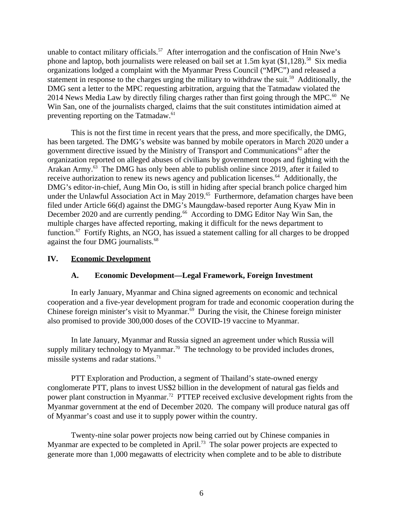unable to contact military officials.<sup>57</sup> After interrogation and the confiscation of Hnin Nwe's phone and laptop, both journalists were released on bail set at 1.5m kyat  $(\$1,128).$ <sup>58</sup> Six media organizations lodged a complaint with the Myanmar Press Council ("MPC") and released a statement in response to the charges urging the military to withdraw the suit.<sup>59</sup> Additionally, the DMG sent a letter to the MPC requesting arbitration, arguing that the Tatmadaw violated the 2014 News Media Law by directly filing charges rather than first going through the MPC. $^{60}$  Ne Win San, one of the journalists charged, claims that the suit constitutes intimidation aimed at preventing reporting on the Tatmadaw. $61$ 

This is not the first time in recent years that the press, and more specifically, the DMG, has been targeted. The DMG's website was banned by mobile operators in March 2020 under a government directive issued by the Ministry of Transport and Communications $62$  after the organization reported on alleged abuses of civilians by government troops and fighting with the Arakan Army.<sup>63</sup> The DMG has only been able to publish online since 2019, after it failed to receive authorization to renew its news agency and publication licenses.<sup>64</sup> Additionally, the DMG's editor-in-chief, Aung Min Oo, is still in hiding after special branch police charged him under the Unlawful Association Act in May 2019.<sup>65</sup> Furthermore, defamation charges have been filed under Article 66(d) against the DMG's Maungdaw-based reporter Aung Kyaw Min in December 2020 and are currently pending.<sup>66</sup> According to DMG Editor Nay Win San, the multiple charges have affected reporting, making it difficult for the news department to function.<sup>67</sup> Fortify Rights, an NGO, has issued a statement calling for all charges to be dropped against the four DMG journalists.<sup>68</sup>

#### **IV. Economic Development**

#### <span id="page-5-1"></span><span id="page-5-0"></span>**A. Economic Development—Legal Framework, Foreign Investment**

In early January, Myanmar and China signed agreements on economic and technical cooperation and a five-year development program for trade and economic cooperation during the Chinese foreign minister's visit to Myanmar.<sup>69</sup> During the visit, the Chinese foreign minister also promised to provide 300,000 doses of the COVID-19 vaccine to Myanmar.

In late January, Myanmar and Russia signed an agreement under which Russia will supply military technology to Myanmar.<sup>70</sup> The technology to be provided includes drones, missile systems and radar stations.<sup>71</sup>

PTT Exploration and Production, a segment of Thailand's state-owned energy conglomerate PTT, plans to invest US\$2 billion in the development of natural gas fields and power plant construction in Myanmar.<sup>72</sup> PTTEP received exclusive development rights from the Myanmar government at the end of December 2020. The company will produce natural gas off of Myanmar's coast and use it to supply power within the country.

Twenty-nine solar power projects now being carried out by Chinese companies in Myanmar are expected to be completed in April.<sup>73</sup> The solar power projects are expected to generate more than 1,000 megawatts of electricity when complete and to be able to distribute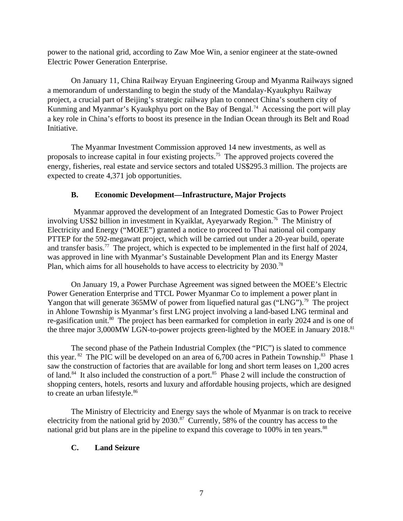power to the national grid, according to Zaw Moe Win, a senior engineer at the state-owned Electric Power Generation Enterprise.

On January 11, China Railway Eryuan Engineering Group and Myanma Railways signed a memorandum of understanding to begin the study of the Mandalay-Kyaukphyu Railway project, a crucial part of Beijing's strategic railway plan to connect China's southern city of Kunming and Myanmar's Kyaukphyu port on the Bay of Bengal.<sup>74</sup> Accessing the port will play a key role in China's efforts to boost its presence in the Indian Ocean through its Belt and Road Initiative.

The Myanmar Investment Commission approved 14 new investments, as well as proposals to increase capital in four existing projects.<sup>75</sup> The approved projects covered the energy, fisheries, real estate and service sectors and totaled US\$295.3 million. The projects are expected to create 4,371 job opportunities.

# <span id="page-6-1"></span>**B. Economic Development—Infrastructure, Major Projects**

Myanmar approved the development of an Integrated Domestic Gas to Power Project involving US\$2 billion in investment in Kyaiklat, Ayeyarwady Region.<sup>76</sup> The Ministry of Electricity and Energy ("MOEE") granted a notice to proceed to Thai national oil company PTTEP for the 592-megawatt project, which will be carried out under a 20-year build, operate and transfer basis.<sup>77</sup> The project, which is expected to be implemented in the first half of 2024, was approved in line with Myanmar's Sustainable Development Plan and its Energy Master Plan, which aims for all households to have access to electricity by  $2030$ .<sup>78</sup>

On January 19, a Power Purchase Agreement was signed between the MOEE's Electric Power Generation Enterprise and TTCL Power Myanmar Co to implement a power plant in Yangon that will generate 365MW of power from liquefied natural gas ("LNG").<sup>79</sup> The project in Ahlone Township is Myanmar's first LNG project involving a land-based LNG terminal and re-gasification unit. $80$  The project has been earmarked for completion in early 2024 and is one of the three major 3,000MW LGN-to-power projects green-lighted by the MOEE in January 2018.<sup>81</sup>

The second phase of the Pathein Industrial Complex (the "PIC") is slated to commence this year. <sup>82</sup> The PIC will be developed on an area of 6,700 acres in Pathein Township.<sup>83</sup> Phase 1 saw the construction of factories that are available for long and short term leases on 1,200 acres of land.<sup>84</sup> It also included the construction of a port.<sup>85</sup> Phase 2 will include the construction of shopping centers, hotels, resorts and luxury and affordable housing projects, which are designed to create an urban lifestyle.<sup>86</sup>

The Ministry of Electricity and Energy says the whole of Myanmar is on track to receive electricity from the national grid by 2030.<sup>87</sup> Currently, 58% of the country has access to the national grid but plans are in the pipeline to expand this coverage to 100% in ten years.<sup>88</sup>

# <span id="page-6-0"></span>**C. Land Seizure**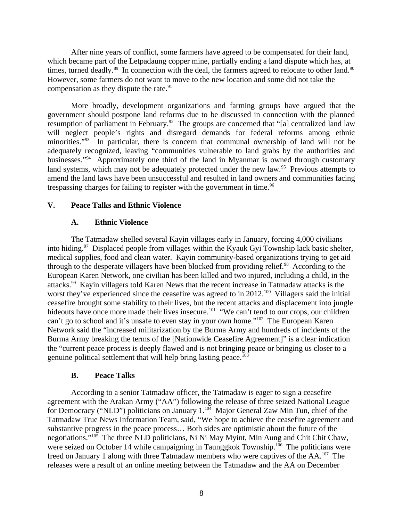After nine years of conflict, some farmers have agreed to be compensated for their land, which became part of the Letpadaung copper mine, partially ending a land dispute which has, at times, turned deadly. $89$  In connection with the deal, the farmers agreed to relocate to other land. $90$ However, some farmers do not want to move to the new location and some did not take the compensation as they dispute the rate. $91$ 

More broadly, development organizations and farming groups have argued that the government should postpone land reforms due to be discussed in connection with the planned resumption of parliament in February.<sup>92</sup> The groups are concerned that "[a] centralized land law will neglect people's rights and disregard demands for federal reforms among ethnic minorities."<sup>93</sup> In particular, there is concern that communal ownership of land will not be adequately recognized, leaving "communities vulnerable to land grabs by the authorities and businesses."<sup>94</sup> Approximately one third of the land in Myanmar is owned through customary land systems, which may not be adequately protected under the new law.<sup>95</sup> Previous attempts to amend the land laws have been unsuccessful and resulted in land owners and communities facing trespassing charges for failing to register with the government in time.<sup>96</sup>

### **V. Peace Talks and Ethnic Violence**

### <span id="page-7-2"></span><span id="page-7-1"></span>**A. Ethnic Violence**

The Tatmadaw shelled several Kayin villages early in January, forcing 4,000 civilians into hiding.<sup>97</sup> Displaced people from villages within the Kyauk Gyi Township lack basic shelter, medical supplies, food and clean water. Kayin community-based organizations trying to get aid through to the desperate villagers have been blocked from providing relief.<sup>98</sup> According to the European Karen Network, one civilian has been killed and two injured, including a child, in the attacks.<sup>99</sup> Kayin villagers told Karen News that the recent increase in Tatmadaw attacks is the worst they've experienced since the ceasefire was agreed to in 2012.<sup>100</sup> Villagers said the initial ceasefire brought some stability to their lives, but the recent attacks and displacement into jungle hideouts have once more made their lives insecure.<sup>101</sup> "We can't tend to our crops, our children can't go to school and it's unsafe to even stay in your own home."<sup>102</sup> The European Karen Network said the "increased militarization by the Burma Army and hundreds of incidents of the Burma Army breaking the terms of the [Nationwide Ceasefire Agreement]" is a clear indication the "current peace process is deeply flawed and is not bringing peace or bringing us closer to a genuine political settlement that will help bring lasting peace.<sup>103</sup>

#### <span id="page-7-0"></span>**B. Peace Talks**

According to a senior Tatmadaw officer, the Tatmadaw is eager to sign a ceasefire agreement with the Arakan Army ("AA") following the release of three seized National League for Democracy ("NLD") politicians on January 1.<sup>104</sup> Major General Zaw Min Tun, chief of the Tatmadaw True News Information Team, said, "We hope to achieve the ceasefire agreement and substantive progress in the peace process… Both sides are optimistic about the future of the negotiations."<sup>105</sup> The three NLD politicians, Ni Ni May Myint, Min Aung and Chit Chit Chaw, were seized on October 14 while campaigning in Taunggkok Township.<sup>106</sup> The politicians were freed on January 1 along with three Tatmadaw members who were captives of the AA.<sup>107</sup> The releases were a result of an online meeting between the Tatmadaw and the AA on December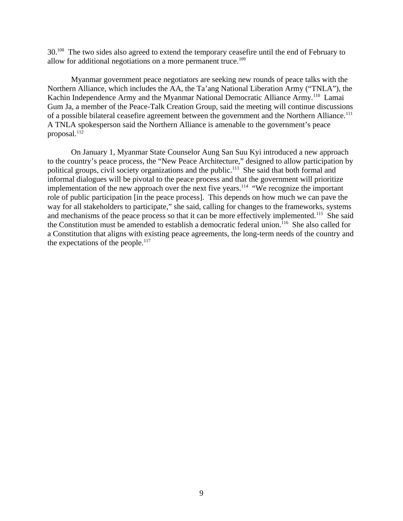30.<sup>108</sup> The two sides also agreed to extend the temporary ceasefire until the end of February to allow for additional negotiations on a more permanent truce.<sup>109</sup>

Myanmar government peace negotiators are seeking new rounds of peace talks with the Northern Alliance, which includes the AA, the Ta'ang National Liberation Army ("TNLA"), the Kachin Independence Army and the Myanmar National Democratic Alliance Army.<sup>110</sup> Lamai Gum Ja, a member of the Peace-Talk Creation Group, said the meeting will continue discussions of a possible bilateral ceasefire agreement between the government and the Northern Alliance.<sup>111</sup> A TNLA spokesperson said the Northern Alliance is amenable to the government's peace proposal. $^{112}$ 

On January 1, Myanmar State Counselor Aung San Suu Kyi introduced a new approach to the country's peace process, the "New Peace Architecture," designed to allow participation by political groups, civil society organizations and the public.<sup>113</sup> She said that both formal and informal dialogues will be pivotal to the peace process and that the government will prioritize implementation of the new approach over the next five years.<sup>114</sup> "We recognize the important role of public participation [in the peace process]. This depends on how much we can pave the way for all stakeholders to participate," she said, calling for changes to the frameworks, systems and mechanisms of the peace process so that it can be more effectively implemented.<sup>115</sup> She said the Constitution must be amended to establish a democratic federal union.<sup>116</sup> She also called for a Constitution that aligns with existing peace agreements, the long-term needs of the country and the expectations of the people. $117$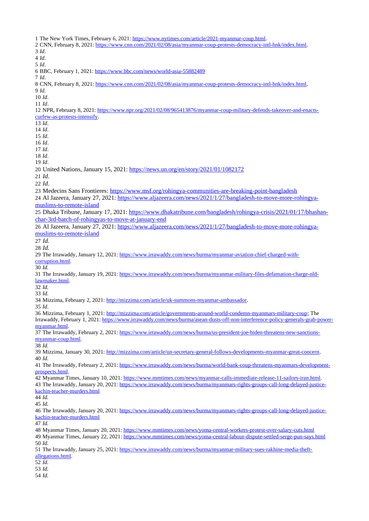The New York Times, February 6, 2021: [https://www.nytimes.com/article/2021-myanmar-coup.html.](https://www.nytimes.com/article/2021-myanmar-coup.html) CNN, February 8, 2021: [https://www.cnn.com/2021/02/08/asia/myanmar-coup-protests-democracy-intl-hnk/index.html.](https://www.cnn.com/2021/02/08/asia/myanmar-coup-protests-democracy-intl-hnk/index.html) *Id*. *Id*. *Id*. BBC, February 1, 2021:<https://www.bbc.com/news/world-asia-55882489> *Id*. CNN, February 8, 2021: [https://www.cnn.com/2021/02/08/asia/myanmar-coup-protests-democracy-intl-hnk/index.html.](https://www.cnn.com/2021/02/08/asia/myanmar-coup-protests-democracy-intl-hnk/index.html) *Id*. *Id*. *Id*. NPR, February 8, 2021: [https://www.npr.org/2021/02/08/965413876/myanmar-coup-military-defends-takeover-and-enacts](https://www.npr.org/2021/02/08/965413876/myanmar-coup-military-defends-takeover-and-enacts-curfew-as-protests-intensify)[curfew-as-protests-intensify.](https://www.npr.org/2021/02/08/965413876/myanmar-coup-military-defends-takeover-and-enacts-curfew-as-protests-intensify) *Id*. *Id*. *Id*. *Id*. *Id*. *Id*. *Id*. United Nations, January 15, 2021:<https://news.un.org/en/story/2021/01/1082172> *Id*. *Id*. Medecins Sans Frontieres:<https://www.msf.org/rohingya-communities-are-breaking-point-bangladesh> Al Jazeera, January 27, 2021: [https://www.aljazeera.com/news/2021/1/27/bangladesh-to-move-more-rohingya](https://www.aljazeera.com/news/2021/1/27/bangladesh-to-move-more-rohingya-muslims-to-remote-island)[muslims-to-remote-island](https://www.aljazeera.com/news/2021/1/27/bangladesh-to-move-more-rohingya-muslims-to-remote-island) Dhaka Tribune, January 17, 2021: [https://www.dhakatribune.com/bangladesh/rohingya-crisis/2021/01/17/bhashan](https://www.dhakatribune.com/bangladesh/rohingya-crisis/2021/01/17/bhashan-char-3rd-batch-of-rohingyas-to-move-at-january-end)[char-3rd-batch-of-rohingyas-to-move-at-january-end](https://www.dhakatribune.com/bangladesh/rohingya-crisis/2021/01/17/bhashan-char-3rd-batch-of-rohingyas-to-move-at-january-end) Al Jazeera, January 27, 2021: [https://www.aljazeera.com/news/2021/1/27/bangladesh-to-move-more-rohingya](https://www.aljazeera.com/news/2021/1/27/bangladesh-to-move-more-rohingya-muslims-to-remote-island)[muslims-to-remote-island](https://www.aljazeera.com/news/2021/1/27/bangladesh-to-move-more-rohingya-muslims-to-remote-island) *Id. Id.* The Irrawaddy, January 12, 2021: [https://www.irrawaddy.com/news/burma/myanmar-aviation-chief-charged-with](https://www.irrawaddy.com/news/burma/myanmar-aviation-chief-charged-with-corruption.html)[corruption.html.](https://www.irrawaddy.com/news/burma/myanmar-aviation-chief-charged-with-corruption.html) *Id.* The Irrawaddy, January 19, 2021: [https://www.irrawaddy.com/news/burma/myanmar-military-files-defamation-charge-nld](https://www.irrawaddy.com/news/burma/myanmar-military-files-defamation-charge-nld-lawmaker.html)[lawmaker.html.](https://www.irrawaddy.com/news/burma/myanmar-military-files-defamation-charge-nld-lawmaker.html) *Id. Id.* Mizzima, February 2, 2021: [http://mizzima.com/article/uk-summons-myanmar-ambassador.](http://mizzima.com/article/uk-summons-myanmar-ambassador) *Id*. Mizzima, February 1, 2021: [http://mizzima.com/article/governments-around-world-condemn-myanmars-military-coup;](http://mizzima.com/article/governments-around-world-condemn-myanmars-military-coup) The Irrawaddy, February 1, 2021: [https://www.irrawaddy.com/news/burma/asean-dusts-off-non-interference-policy-generals-grab-power](https://www.irrawaddy.com/news/burma/asean-dusts-off-non-interference-policy-generals-grab-power-myanmar.html)[myanmar.html.](https://www.irrawaddy.com/news/burma/asean-dusts-off-non-interference-policy-generals-grab-power-myanmar.html) The Irrawaddy, February 2, 2021: [https://www.irrawaddy.com/news/burma/us-president-joe-biden-threatens-new-sanctions](https://www.irrawaddy.com/news/burma/us-president-joe-biden-threatens-new-sanctions-myanmar-coup.html)[myanmar-coup.html.](https://www.irrawaddy.com/news/burma/us-president-joe-biden-threatens-new-sanctions-myanmar-coup.html) *Id.* Mizzima, January 30, 2021: [http://mizzima.com/article/un-secretary-general-follows-developments-myanmar-great-concern.](http://mizzima.com/article/un-secretary-general-follows-developments-myanmar-great-concern) *Id.* The Irrawaddy, February 2, 2021: [https://www.irrawaddy.com/news/burma/world-bank-coup-threatens-myanmars-development](https://www.irrawaddy.com/news/burma/world-bank-coup-threatens-myanmars-development-prospects.html)[prospects.html.](https://www.irrawaddy.com/news/burma/world-bank-coup-threatens-myanmars-development-prospects.html) Myanmar Times, January 10, 2021: [https://www.mmtimes.com/news/myanmar-calls-immediate-release-11-sailors-iran.html.](https://www.mmtimes.com/news/myanmar-calls-immediate-release-11-sailors-iran.html) The Irrawaddy, January 20, 2021: [https://www.irrawaddy.com/news/burma/myanmars-rights-groups-call-long-delayed-justice](https://www.irrawaddy.com/news/burma/myanmars-rights-groups-call-long-delayed-justice-kachin-teacher-murders.html)[kachin-teacher-murders.html](https://www.irrawaddy.com/news/burma/myanmars-rights-groups-call-long-delayed-justice-kachin-teacher-murders.html) *Id. Id.* The Irrawaddy, January 20, 2021: [https://www.irrawaddy.com/news/burma/myanmars-rights-groups-call-long-delayed-justice](https://www.irrawaddy.com/news/burma/myanmars-rights-groups-call-long-delayed-justice-kachin-teacher-murders.html)[kachin-teacher-murders.html](https://www.irrawaddy.com/news/burma/myanmars-rights-groups-call-long-delayed-justice-kachin-teacher-murders.html) *Id.* Myanmar Times, January 20, 2021:<https://www.mmtimes.com/news/yoma-central-workers-protest-over-salary-cuts.html> 49 Myanmar Times, January 22, 2021:<https://www.mmtimes.com/news/yoma-central-labour-dispute-settled-serge-pun-says.html> *Id.* The Irrawaddy, January 25, 2021: [https://www.irrawaddy.com/news/burma/myanmar-military-sues-rakhine-media-theft](https://www.irrawaddy.com/news/burma/myanmar-military-sues-rakhine-media-theft-allegations.html)[allegations.html.](https://www.irrawaddy.com/news/burma/myanmar-military-sues-rakhine-media-theft-allegations.html) *Id. Id. Id.*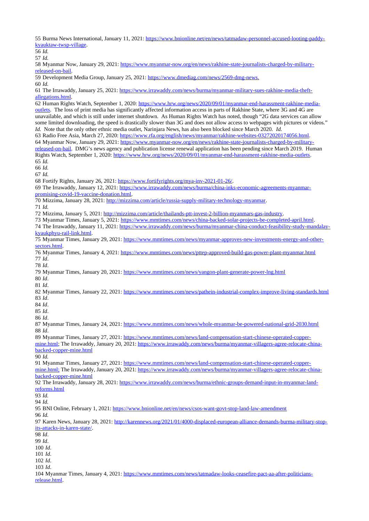Burma News International, January 11, 2021: [https://www.bnionline.net/en/news/tatmadaw-personnel-accused-looting-paddy](https://www.bnionline.net/en/news/tatmadaw-personnel-accused-looting-paddy-kyauktaw-twsp-village)[kyauktaw-twsp-village.](https://www.bnionline.net/en/news/tatmadaw-personnel-accused-looting-paddy-kyauktaw-twsp-village)

*Id.*

*Id.*

 Myanmar Now, January 29, 2021: [https://www.myanmar-now.org/en/news/rakhine-state-journalists-charged-by-military](https://www.myanmar-now.org/en/news/rakhine-state-journalists-charged-by-military-released-on-bail)[released-on-bail.](https://www.myanmar-now.org/en/news/rakhine-state-journalists-charged-by-military-released-on-bail)

Development Media Group, January 25, 2021: [https://www.dmediag.com/news/2569-dmg-news.](https://www.dmediag.com/news/2569-dmg-news)

*Id.*

 The Irrawaddy, January 25, 2021: [https://www.irrawaddy.com/news/burma/myanmar-military-sues-rakhine-media-theft](https://www.irrawaddy.com/news/burma/myanmar-military-sues-rakhine-media-theft-allegations.html)[allegations.html.](https://www.irrawaddy.com/news/burma/myanmar-military-sues-rakhine-media-theft-allegations.html)

 Human Rights Watch, September 1, 2020: [https://www.hrw.org/news/2020/09/01/myanmar-end-harassment-rakhine-media](https://www.hrw.org/news/2020/09/01/myanmar-end-harassment-rakhine-media-outlets)[outlets.](https://www.hrw.org/news/2020/09/01/myanmar-end-harassment-rakhine-media-outlets) The loss of print media has significantly affected information access in parts of Rakhine State, where 3G and 4G are unavailable, and which is still under internet shutdown. As Human Rights Watch has noted, though "2G data services can allow some limited downloading, the speed is drastically slower than 3G and does not allow access to webpages with pictures or videos." *Id.* Note that the only other ethnic media outlet, Narinjara News, has also been blocked since March 2020. *Id.*

 Radio Free Asia, March 27, 2020: [https://www.rfa.org/english/news/myanmar/rakhine-websites-03272020174056.html.](https://www.rfa.org/english/news/myanmar/rakhine-websites-03272020174056.html) Myanmar Now, January 29, 2021: [https://www.myanmar-now.org/en/news/rakhine-state-journalists-charged-by-military](https://www.myanmar-now.org/en/news/rakhine-state-journalists-charged-by-military-released-on-bail)[released-on-bail.](https://www.myanmar-now.org/en/news/rakhine-state-journalists-charged-by-military-released-on-bail) DMG's news agency and publication license renewal application has been pending since March 2019. Human Rights Watch, September 1, 2020: [https://www.hrw.org/news/2020/09/01/myanmar-end-harassment-rakhine-media-outlets.](https://www.hrw.org/news/2020/09/01/myanmar-end-harassment-rakhine-media-outlets) *Id.* 

*Id.*

*Id.*

Fortify Rights, January 26, 2021: [https://www.fortifyrights.org/mya-inv-2021-01-26/.](https://www.fortifyrights.org/mya-inv-2021-01-26/)

 The Irrawaddy, January 12, 2021: [https://www.irrawaddy.com/news/burma/china-inks-economic-agreements-myanmar](https://www.irrawaddy.com/news/burma/china-inks-economic-agreements-myanmar-promising-covid-19-vaccine-donation.html)[promising-covid-19-vaccine-donation.html.](https://www.irrawaddy.com/news/burma/china-inks-economic-agreements-myanmar-promising-covid-19-vaccine-donation.html)

Mizzima, January 28, 2021: [http://mizzima.com/article/russia-supply-military-technology-myanmar.](http://mizzima.com/article/russia-supply-military-technology-myanmar)

*Id.*

Mizzima, January 5, 2021: [http://mizzima.com/article/thailands-ptt-invest-2-billion-myanmars-gas-industry.](http://mizzima.com/article/thailands-ptt-invest-2-billion-myanmars-gas-industry)

Myanmar Times, January 5, 2021: [https://www.mmtimes.com/news/china-backed-solar-projects-be-completed-april.html.](https://www.mmtimes.com/news/china-backed-solar-projects-be-completed-april.html)

 The Irrawaddy, January 11, 2021: [https://www.irrawaddy.com/news/burma/myanmar-china-conduct-feasibility-study-mandalay](https://www.irrawaddy.com/news/burma/myanmar-china-conduct-feasibility-study-mandalay-kyaukphyu-rail-link.html)[kyaukphyu-rail-link.html.](https://www.irrawaddy.com/news/burma/myanmar-china-conduct-feasibility-study-mandalay-kyaukphyu-rail-link.html)

 Myanmar Times, January 29, 2021: [https://www.mmtimes.com/news/myanmar-approves-new-investments-energy-and-other](https://www.mmtimes.com/news/myanmar-approves-new-investments-energy-and-other-sectors.html)[sectors.html.](https://www.mmtimes.com/news/myanmar-approves-new-investments-energy-and-other-sectors.html)

 Myanmar Times, January 4, 2021:<https://www.mmtimes.com/news/pttep-approved-build-gas-power-plant-myanmar.html> *Id*.

*Id*.

Myanmar Times, January 20, 2021:<https://www.mmtimes.com/news/yangon-plant-generate-power-lng.html>

*Id*.

*Id*.

 Myanmar Times, January 22, 2021:<https://www.mmtimes.com/news/pathein-industrial-complex-improve-living-standards.html> *Id*.

*Id*.

*Id*.

*Id*.

 Myanmar Times, January 24, 2021:<https://www.mmtimes.com/news/whole-myanmar-be-powered-national-grid-2030.html> *Id*.

89 Myanmar Times, January 27, 2021: [https://www.mmtimes.com/news/land-compensation-start-chinese-operated-copper](https://www.mmtimes.com/news/land-compensation-start-chinese-operated-copper-mine.html)[mine.html;](https://www.mmtimes.com/news/land-compensation-start-chinese-operated-copper-mine.html) The Irrawaddy, January 20, 2021: [https://www.irrawaddy.com/news/burma/myanmar-villagers-agree-relocate-china](https://www.irrawaddy.com/news/burma/myanmar-villagers-agree-relocate-china-backed-copper-mine.html)[backed-copper-mine.html](https://www.irrawaddy.com/news/burma/myanmar-villagers-agree-relocate-china-backed-copper-mine.html)

*Id.*

 Myanmar Times, January 27, 2021: [https://www.mmtimes.com/news/land-compensation-start-chinese-operated-copper](https://www.mmtimes.com/news/land-compensation-start-chinese-operated-copper-mine.html) mine.html; The Irrawaddy, January 20, 2021: [https://www.irrawaddy.com/news/burma/myanmar-villagers-agree-relocate-china](https://www.irrawaddy.com/news/burma/myanmar-villagers-agree-relocate-china-backed-copper-mine.html)[backed-copper-mine.html](https://www.irrawaddy.com/news/burma/myanmar-villagers-agree-relocate-china-backed-copper-mine.html)

 The Irrawaddy, January 28, 2021: [https://www.irrawaddy.com/news/burma/ethnic-groups-demand-input-in-myanmar-land](https://www.irrawaddy.com/news/burma/ethnic-groups-demand-input-in-myanmar-land-reforms.html)[reforms.html](https://www.irrawaddy.com/news/burma/ethnic-groups-demand-input-in-myanmar-land-reforms.html)

*Id.*

*Id.*

BNI Online, February 1, 2021:<https://www.bnionline.net/en/news/csos-want-govt-stop-land-law-amendment>

*Id.*

 Karen News, January 28, 2021: [http://karennews.org/2021/01/4000-displaced-european-alliance-demands-burma-military-stop](http://karennews.org/2021/01/4000-displaced-european-alliance-demands-burma-military-stop-its-attacks-in-karen-state/)[its-attacks-in-karen-state/.](http://karennews.org/2021/01/4000-displaced-european-alliance-demands-burma-military-stop-its-attacks-in-karen-state/)

*Id*.

*Id*.

*Id*.

*Id*.

*Id*.

*Id*.

 Myanmar Times, January 4, 2021: [https://www.mmtimes.com/news/tatmadaw-looks-ceasefire-pact-aa-after-politicians](https://www.mmtimes.com/news/tatmadaw-looks-ceasefire-pact-aa-after-politicians-release.html)[release.html.](https://www.mmtimes.com/news/tatmadaw-looks-ceasefire-pact-aa-after-politicians-release.html)